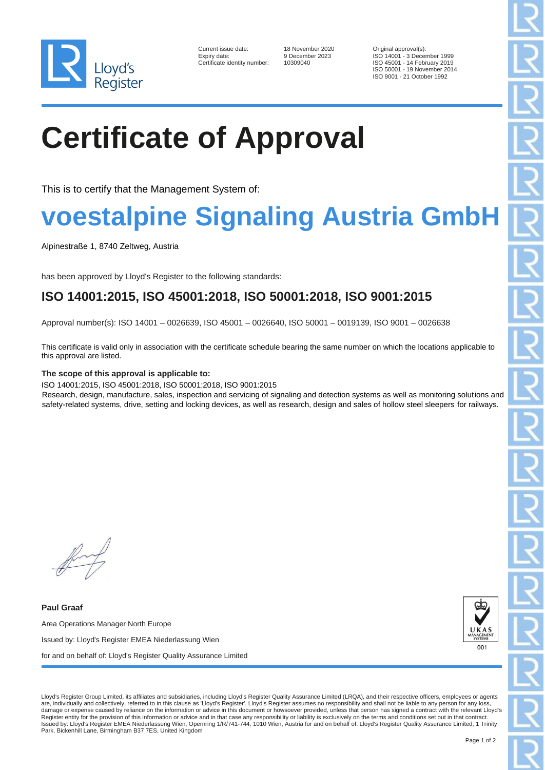

| Current issue date:        |
|----------------------------|
| Expiry date:               |
| Certificate identity numbe |

10309040

18 November 2020 Original approval(s):<br>
9 December 2023 ISO 14001 - 3 December 2023 ISO 14001 - 3 December 1999 ISO 45001 - 14 February 2019 ISO 50001 - 19 November 2014 ISO 9001 - 21 October 1992

# **Certificate of Approval**

This is to certify that the Management System of:

## **voestalpine Signaling Austria GmbH**

Alpinestraße 1, 8740 Zeltweg, Austria

has been approved by Lloyd's Register to the following standards:

### **ISO 14001:2015, ISO 45001:2018, ISO 50001:2018, ISO 9001:2015**

Approval number(s): ISO 14001 – 0026639, ISO 45001 – 0026640, ISO 50001 – 0019139, ISO 9001 – 0026638

This certificate is valid only in association with the certificate schedule bearing the same number on which the locations applicable to this approval are listed.

#### **The scope of this approval is applicable to:**

ISO 14001:2015, ISO 45001:2018, ISO 50001:2018, ISO 9001:2015

Research, design, manufacture, sales, inspection and servicing of signaling and detection systems as well as monitoring solutions and safety-related systems, drive, setting and locking devices, as well as research, design and sales of hollow steel sleepers for railways.

**Paul Graaf** Area Operations Manager North Europe Issued by: Lloyd's Register EMEA Niederlassung Wien for and on behalf of: Lloyd's Register Quality Assurance Limited



Lloyd's Register Group Limited, its affiliates and subsidiaries, including Lloyd's Register Quality Assurance Limited (LRQA), and their respective officers, employees or agents are, individually and collectively, referred to in this clause as 'Lloyd's Register'. Lloyd's Register assumes no responsibility and shall not be liable to any person for any loss, damage or expense caused by reliance on the information or advice in this document or howsoever provided, unless that person has signed a contract with the relevant Lloyd's Register entity for the provision of this information or advice and in that case any responsibility or liability is exclusively on the terms and conditions set out in that contract.<br>Issued by: Lloyd's Register EMEA Niederl Park, Bickenhill Lane, Birmingham B37 7ES, United Kingdom